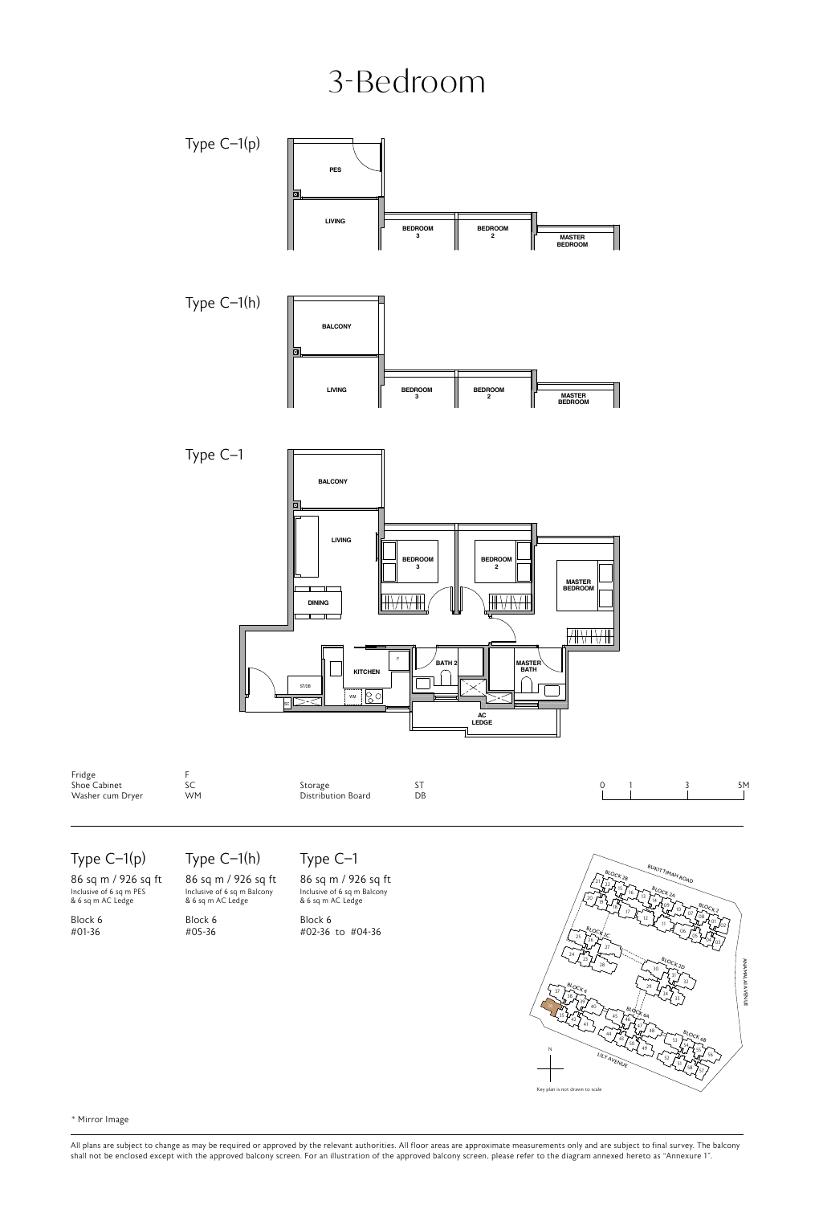### 3-Bedroom



Type C–1(p)

86 sq m / 926 sq ft Inclusive of 6 sq m PES & 6 sq m AC Ledge

Block 6 #01-36

#### Type C–1(h)

86 sq m / 926 sq ft Inclusive of 6 sq m Balcony & 6 sq m AC Ledge

Block 6 #05-36

#### Type C–1

AC Leage and a squire Leage m / 926 sq ft 86 sq m / 926 sq ft  $\frac{1}{2}$ <br>
of 6 sq m Balcony Inclusive of 6 sq m Balcony<br>
AC Ledge & 6 sq m AC Ledge

 $5 \qquad \qquad \text{Block } 6$ #02-36 to #04-36



\* Mirror Image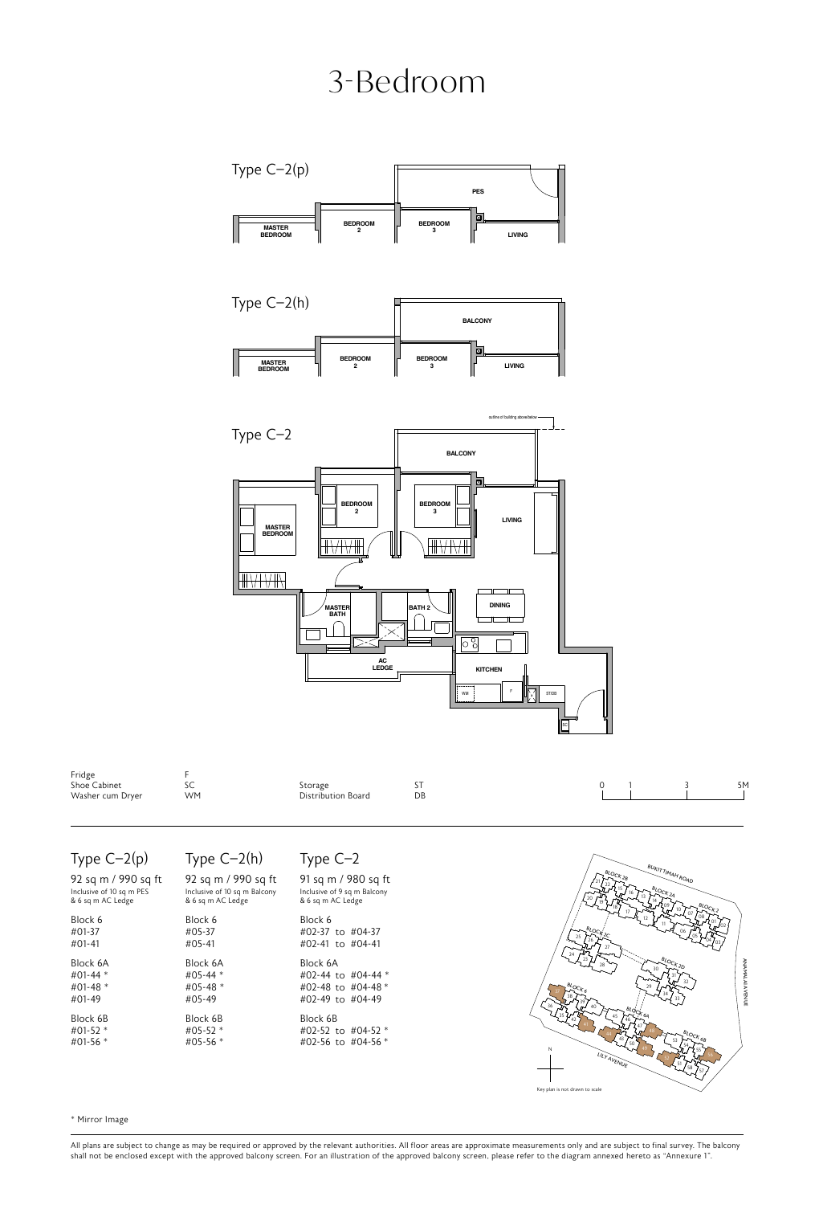### 3-Bedroom



#### Type C–2(p)

| 92 sq m / 990 sq ft<br>Inclusive of 10 sq m PES<br>& 6 sq m AC Ledge |
|----------------------------------------------------------------------|
| Block 6<br>#01-37<br>$\#01 - 41$                                     |
| Block 6A<br>#01-44 $*$<br>#01-48 $*$<br>#01-49                       |
| Block 6B<br>#01-52 $*$<br>#01-56 $*$                                 |

#### Type C–2(h)

Block 6 #05-37 #05-41 Block 6A #05-44 \* #05-48 \* #05-49 Block 6B #05-52 \* #05-56 \*

| ۰ |  |  |
|---|--|--|
|---|--|--|

| m / 990 sq ft      | 91 sq m / 980 sq ft                                                          |
|--------------------|------------------------------------------------------------------------------|
| of 10 sq m Balcony | Inclusive of 9 sq m Balcony                                                  |
| AC Ledge           | & 6 sq m AC Ledge                                                            |
|                    | Block 6<br>#02-37 to #04-37<br>#02-41 to #04-41                              |
| śА<br>$1 *$<br>} * | Block 6A<br>#02-44 to #04-44 $*$<br>#02-48 to #04-48 $*$<br>#02-49 to #04-49 |
| śВ                 | Block 6B                                                                     |
| $\mathbf{r}^*$     | #02-52 to #04-52 *                                                           |
| $\frac{1}{2}$      | #02-56 to #04-56 *                                                           |



\* Mirror Image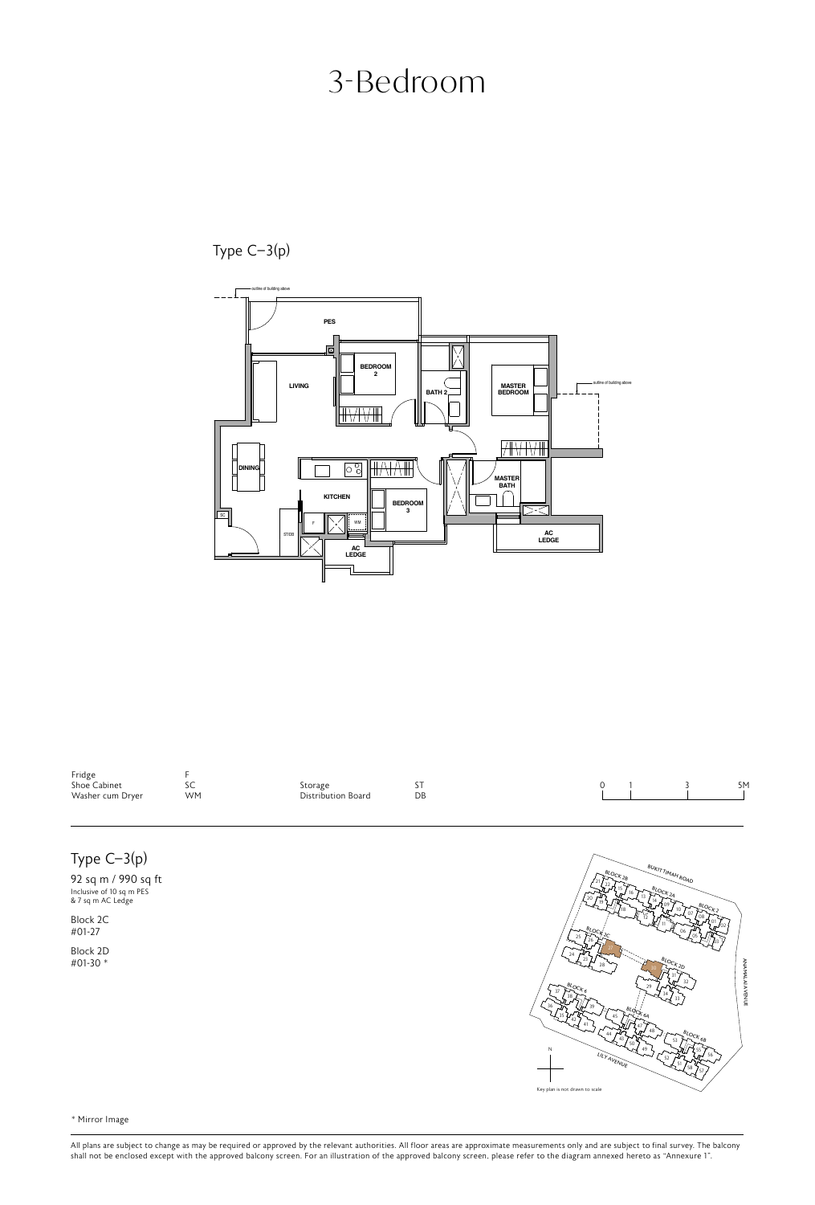### 3-Bedroom

Type C–3(p)



| Fridge           |     |                    |    |  |  |    |
|------------------|-----|--------------------|----|--|--|----|
| Shoe Cabinet     | JU. | storage            | ັ່ |  |  | 5M |
| Washer cum Dryer | WM  | Distribution Board | DB |  |  |    |
|                  |     |                    |    |  |  |    |

### Type C–3(p)

92 sq m / 990 sq ft Inclusive of 10 sq m PES & 7 sq m AC Ledge

Block 2C #01-27

Block 2D #01-30 \*



BLOCK 2B <sup>21</sup> <sup>22</sup>

BUKIT TIMAH ROAD

\* Mirror Image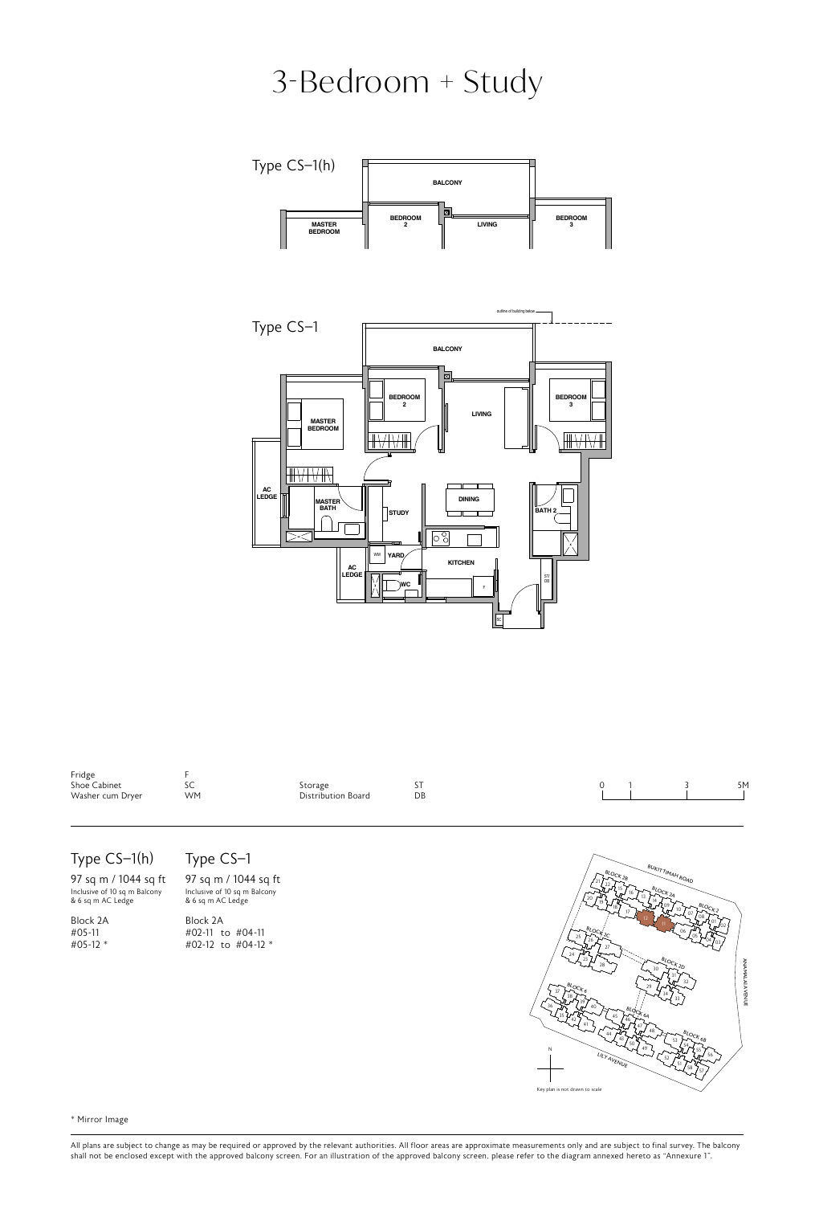# 3-Bedroom + Study





 $F_{\rm s}$  - Shoe Cabinet WM - Washer Washer Washer Wood Cabinet Washer Wood - Washer Wood - Washer Wood Cabinet Washer and Dryer Wood Cabinet Wood Cabinet Washer and Dryer Wood Cabinet Wood Cabinet Wood Cabinet Wood Cabine

#### Type CS–1(h)

97 sq m / 1044 sq ft Inclusive of 10 sq m Balcony & 6 sq m AC Ledge

Block 2A #05-11 #05-12 \*

F - Fridge SC - Shoe Cabinet WM - Washer cum Dryer WD - Washer and Dryer  $S_{\rm C}$  storage DB - Distribution Board WIC - Walk-in Closet DW -  $S_{\rm C}$ Type CS–1

ST - Storage DB - Distribution Board WIC - Walker DB - Walker DW - Walker DW - Walker DW - Dishwasher DW - Dishwasher DW - Dishwasher DW - Dishwasher DW - Dishwasher DW - Dishwasher DW - Dishwasher DW - Dishwasher DW - Dis **97 sq m / 1044 sq ft**<br>Inclusive of 10 sq m Balcony<br>& 6 sq m AC Ledge Block 2A #02-11 to #04-11 #02-12 to #04-12 \*



\* Mirror Image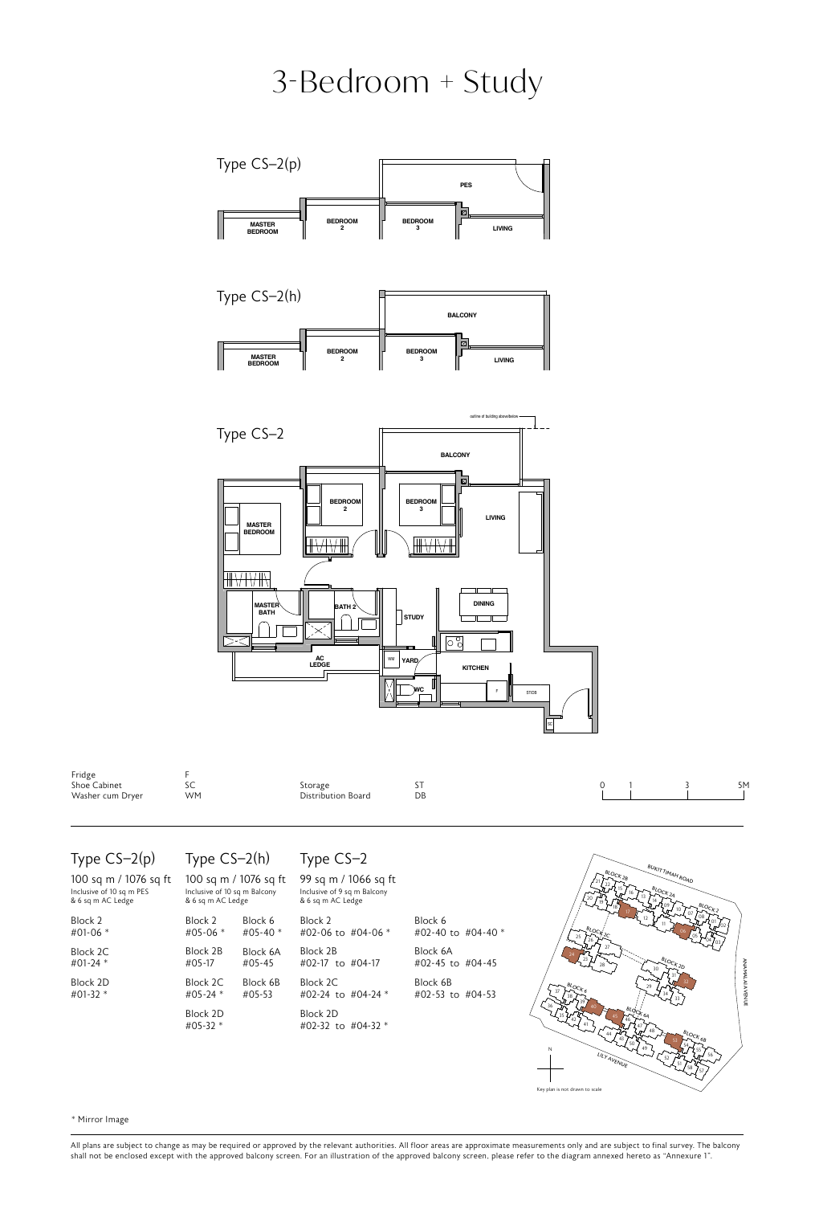### **PES** 3-Bedroom + Study



Type CS–2(p)

| 100 sq m / 1076 sq ft<br>Inclusive of 10 sq m PES<br>& 6 sq m AC Ledge | Inclusive of 10 sq m Balcony<br>& 6 sq m AC Ledge | 100 sq m / 1076 sq ft | 99 sq m / 1066 sq ft<br>Inclusive of 9 sq m Balcony<br>& 6 sq m AC Ledge |           |
|------------------------------------------------------------------------|---------------------------------------------------|-----------------------|--------------------------------------------------------------------------|-----------|
| Block 2                                                                | Block 2                                           | Block 6               | Block 2                                                                  | Block     |
| #01-06 $*$                                                             | $#05-06$ *                                        | #05-40 $*$            | #02-06 to #04-06 $*$                                                     | $#02 - 4$ |
| Block 2C                                                               | Block 2B                                          | Block 6A              | Block 2B                                                                 | Block     |
| #01-24 $*$                                                             | $#05-17$                                          | $#05 - 45$            | #02-17 to #04-17                                                         | $#02-4$   |
| Block 2D                                                               | Block 2C                                          | Block 6B              | Block 2C                                                                 | Block     |
| #01-32 $*$                                                             | #05-24 $*$                                        | $#05-53$              | #02-24 to #04-24 $*$                                                     | $#02 -$   |
|                                                                        | Block 2D<br>#05-32 $*$                            |                       | Block 2D<br>#02-32 to #04-32 $*$                                         |           |

#### Type CS–2(h) Type CS–2 Type CS–2

| 100 sq m / 1076 sq ft       |            | 99 sq m / 1066 sq ft           |               |  |  |
|-----------------------------|------------|--------------------------------|---------------|--|--|
| nclusive of 10 sq m Balcony |            | Inclusive of 9 sq m Balcony    |               |  |  |
| & 6 sq m AC Ledge           |            | & 6 sq m AC Ledge              |               |  |  |
| Block 2                     | Block 6    | Block 2                        | Block 6       |  |  |
| #05-06 *                    | #05-40 $*$ | #02-06 to #04-06 $*$           | #02-40 t      |  |  |
| Block 2B                    | Block 6A   | Block 2B                       | Block 6A      |  |  |
| #05-17                      | #05-45     | #02-17 to #04-17               | $#02 - 45$ to |  |  |
| Block 2C.                   | Block 6B   | Block 2C                       | Block 6B      |  |  |
| #05-24 *                    | $#05-53$   | #02-24 to #04-24 $*$           | $#02 - 53$ to |  |  |
| Block 2D<br>#05-32 *        |            | Block 2D<br>#02-32 to #04-32 * |               |  |  |





51

\* Mirror Image